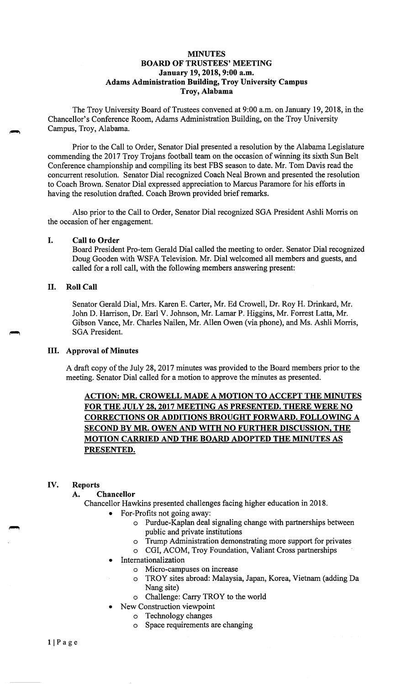## **MINUTES BOARD OF TRUSTEES' MEETING January 19, 2018, 9:00 a.m. Adams Administration Building, Troy University Campus Troy, Alabama**

The Troy University Board of Trustees convened at 9:00 a.m. on January 19, 2018, in the Chancellor's Conference Room, Adams Administration Building, on the Troy University Campus, Troy, Alabama.

Prior to the Call to Order, Senator Dial presented a resolution by the Alabama Legislature commending the 2017 Troy Trojans football team on the occasion of winning its sixth Sun Belt Conference championship and compiling its best PBS season to date. Mr. Tom Davis read the concurrent resolution. Senator Dial recognized Coach Neal Brown and presented the resolution to Coach Brown. Senator Dial expressed appreciation to Marcus Paramore for his efforts in having the resolution drafted. Coach Brown provided brief remarks.

Also prior to the Call to Order, Senator Dial recognized SGA President Ashli Morris on the occasion of her engagement.

### I. **Call to Order**

Board President Pro-tern Gerald Dial called the meeting to order. Senator Dial recognized Doug Gooden with WSFA Television. Mr. Dial welcomed all members and guests, and called for a roll call, with the following members answering present:

## II. **Roll Call**

Senator Gerald Dial, Mrs. Karen E. Carter, Mr. Ed Crowell, Dr. Roy H. Drinkard, Mr. John D. Harrison, Dr. Earl V. Johnson, Mr. Lamar P. Higgins, Mr. Forrest Latta, Mr. Gibson Vance, Mr. Charles Nailen, Mr. Allen Owen (via phone), and Ms. Ashli Morris, SGA President.

#### III. **Approval of Minutes**

A draft copy of the July 28, 2017 minutes was provided to the Board members prior to the meeting. Senator Dial called for a motion to approve the minutes as presented.

# **ACTION: MR. CROWELL MADE A MOTION TO ACCEPT THE MINUTES FOR THE JULY 28, 2017 MEETING AS PRESENTED. THERE WERE NO CORRECTIONS OR ADDITIONS BROUGHT FORWARD. FOLLOWING A SECOND BY MR. OWEN AND WITH NO FURTHER DISCUSSION, THE MOTION CARRIED AND THE BOARD ADOPTED THE MINUTES AS PRESENTED.**

# **IV. Reports**

# **A. Chancellor**

Chancellor Hawkins presented challenges facing higher education in 2018.

- For-Profits not going away:
	- o Purdue-Kaplan deal signaling change with partnerships between public and private institutions
	- o Trump Administration demonstrating more support for privates
	- o CGI, ACOM, Troy Foundation, Valiant Cross partnerships
- **Internationalization** 
	- o Micro-campuses on increase
	- TROY sites abroad: Malaysia, Japan, Korea, Vietnam (adding Da Nang site)
	- o Challenge: Carry TROY to the world
- New Construction viewpoint
	- o Technology changes
	- o Space requirements are changing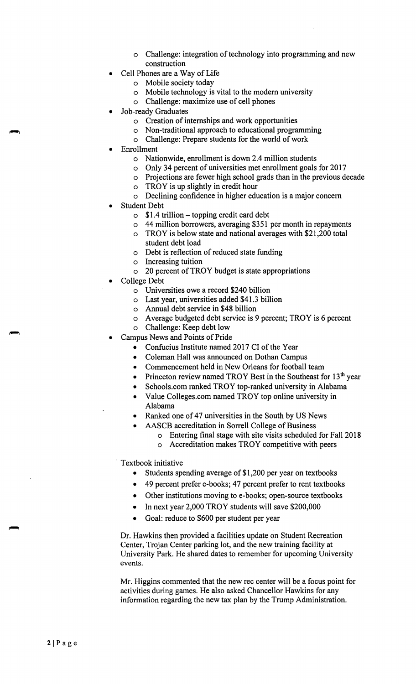- o Challenge: integration of technology into programming and new construction
- Cell Phones are a Way of Life
	- o Mobile society today
	- o Mobile technology is vital to the modern university
	- o Challenge: maximize use of cell phones
- Job-ready Graduates
	- o Creation of internships and work opportunities
	- o Non-traditional approach to educational programming
	- o Challenge: Prepare students for the world of work
- **Enrollment** 
	- o Nationwide, enrollment is down 2.4 million students
	- o Only 34 percent of universities met enrollment goals for 2017
	- o Projections are fewer high school grads than in the previous decade
	- o TROY is up slightly in credit hour
	- o Declining confidence in higher education is a major concern
- Student Debt
	- $\circ$  \$1.4 trillion topping credit card debt
	- o 44 million borrowers, averaging \$351 per month in repayments
	- o TROY is below state and national averages with \$21,200 total student debt load
	- o Debt is reflection of reduced state funding
	- o Increasing tuition
	- o 20 percent of TROY budget is state appropriations
- College Debt
	- o Universities owe a record \$240 billion
	- o Last year, universities added \$41.3 billion
	- o Annual debt service in \$48 billion
	- o Average budgeted debt service is 9 percent; TROY is 6 percent
	- o Challenge: Keep debt low
- Campus News and Points of Pride
	- Confucius Institute named 2017 CI of the Year
	- Coleman Hall was announced on Dothan Campus
	- Commencement held in New Orleans for football team
	- Princeton review named TROY Best in the Southeast for 13<sup>th</sup> year
	- [Schools.com](https://Schools.com) ranked TROY top-ranked university in Alabama
	- Value [Colleges.com](https://Colleges.com) named TROY top online university in Alabama
	- Ranked one of 47 universities in the South by US News
	- AASCB accreditation in Sorrell College of Business
		- o Entering final stage with site visits scheduled for Fall 2018
		- o Accreditation makes TROY competitive with peers

Textbook initiative

- Students spending average of \$1,200 per year on textbooks
- 49 percent prefer e-books; 47 percent prefer to rent textbooks
- Other institutions moving to e-books; open-source textbooks
- In next year 2,000 TROY students will save \$200,000
- Goal: reduce to \$600 per student per year

Dr. Hawkins then provided a facilities update on Student Recreation Center, Trojan Center parking lot, and the new training facility at University Park. He shared dates to remember for upcoming University events.

Mr. Higgins commented that the new rec center will be a focus point for activities during games. He also asked Chancellor Hawkins for any information regarding the new tax plan by the Trump Administration.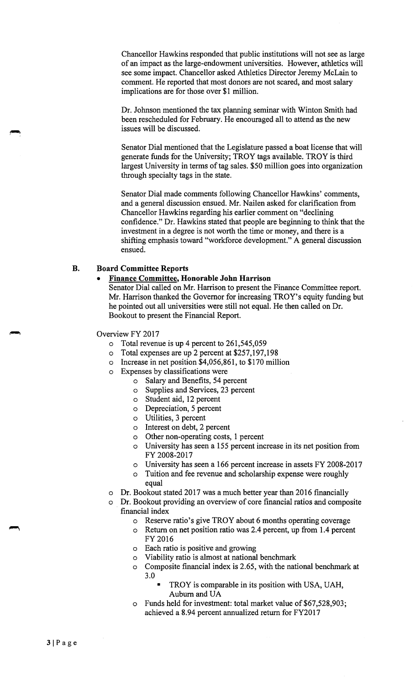Chancellor Hawkins responded that public institutions will not see as large of an impact as the large-endowment universities. However, athletics will see some impact. Chancellor asked Athletics Director Jeremy McLain to comment. He reported that most donors are not scared, and most salary implications are for those over \$1 million.

Dr. Johnson mentioned the tax planning seminar with Winton Smith had been rescheduled for February. He encouraged all to attend as the new issues will be discussed.

Senator Dial mentioned that the Legislature passed a boat license that will generate funds for the University; TROY tags available. TROY is third largest University in terms of tag sales. \$50 million goes into organization through specialty tags in the state.

Senator Dial made comments following Chancellor Hawkins' comments, and a general discussion ensued. Mr. Nailen asked for clarification from Chancellor Hawkins regarding his earlier comment on "declining confidence." Dr. Hawkins stated that people are beginning to think that the investment in a degree is not worth the time or money, and there is a shifting emphasis toward "workforce development." A general discussion ensued.

# **B. Board Committee Reports**

#### • **Finance Committee, Honorable John Harrison**

Senator Dial called on Mr. Harrison to present the Finance Committee report. Mr. Harrison thanked the Governor for increasing TROY's equity funding but he pointed out all universities were still not equal. He then called on Dr. Bookout to present the Financial Report.

Overview FY 2017

- o Total revenue is up 4 percent to 261,545,059
- o Total expenses are up 2 percent at \$257,197,198
- o Increase in net position \$4,056,861, to \$170 million
- o Expenses by classifications were
	- o Salary and Benefits, 54 percent
		- o Supplies and Services, 23 percent
		- o Student aid, 12 percent
		- o Depreciation, 5 percent
		- o Utilities, 3 percent
		- o Interest on debt, 2 percent
		- o Other non-operating costs, 1 percent
		- o University has seen a 155 percent increase in its net position from FY 2008-2017
		- University has seen a 166 percent increase in assets FY 2008-2017
			- Tuition and fee revenue and scholarship expense were roughly equal
- o Dr. Bookout stated 2017 was a much better year than 2016 financially
- o Dr. Bookout providing an overview of core financial ratios and composite financial index
	- o Reserve ratio's give TROY about 6 months operating coverage
	- o Return on net position ratio was 2.4 percent, up from 1.4 percent FY 2016
	- o Each ratio is positive and growing
	- o Viability ratio is almost at national benchmark
	- o Composite financial index is 2.65, with the national benchmark at 3.0
		- TROY is comparable in its position with USA, UAH, Auburn and UA
	- Funds held for investment: total market value of \$67,528,903; achieved a 8.94 percent annualized return for FY2017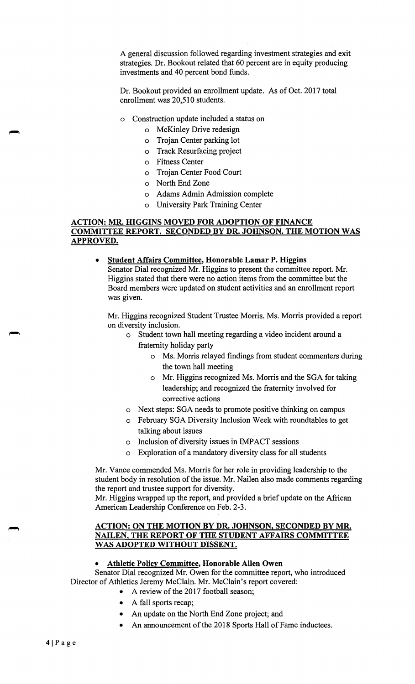A general discussion followed regarding investment strategies and exit strategies. Dr. Bookout related that 60 percent are in equity producing investments and 40 percent bond funds.

Dr. Bookout provided an enrollment update. As of Oct. 2017 total enrollment was 20,510 students.

- o Construction update included a status on
	- o McKinley Drive redesign
	- o Trojan Center parking lot
	- o Track Resurfacing project
	- o Fitness Center
	- o Trojan Center Food Court
	- o North End Zone
	- o Adams Admin Admission complete
	- o University Park Training Center

# **ACTION: MR. HIGGINS MOVED FOR ADOPTION OF FINANCE COMMITTEE REPORT. SECONDED BY DR. JOHNSON. THE MOTION WAS APPROVED.**

• **Student Affairs Committee, Honorable Lamar P. Higgins** 

Senator Dial recognized Mr. Higgins to present the committee report. Mr. Higgins stated that there were no action items from the committee but the Board members were updated on student activities and an enrollment report was given.

Mr. Higgins recognized Student Trustee Morris. Ms. Morris provided a report on diversity inclusion.

- o Student town hall meeting regarding a video incident around a fraternity holiday party
	- o Ms. Morris relayed findings from student commenters during the town hall meeting
	- o Mr. Higgins recognized Ms. Morris and the SGA for taking leadership; and recognized the fraternity involved for corrective actions
- o Next steps: SGA needs to promote positive thinking on campus
- o February SGA Diversity Inclusion Week with roundtables to get talking about issues
- o Inclusion of diversity issues in IMP ACT sessions
- o Exploration of a mandatory diversity class for all students

Mr. Vance commended Ms. Morris for her role in providing leadership to the student body in resolution of the issue. Mr. Nailen also made comments regarding the report and trustee support for diversity.

Mr. Higgins wrapped up the report, and provided a brief update on the African American Leadership Conference on Feb. 2-3.

### **ACTION: ON THE MOTION BY DR. JOHNSON, SECONDED BY MR. NAILEN, THE REPORT OF THE STUDENT AFFAIRS COMMITTEE WAS ADOPTED WITHOUT DISSENT.**

#### • **Athletic Policy Committee, Honorable Allen Owen**

Senator Dial recognized Mr. Owen for the committee report, who introduced Director of Athletics Jeremy McClain. Mr. McClain's report covered:

- A review of the 2017 football season;
- A fall sports recap;
- An update on the North End Zone project; and
- An announcement of the 2018 Sports Hall of Fame inductees.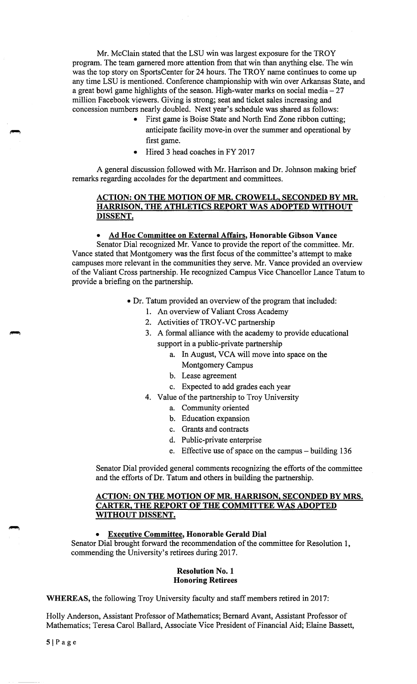Mr. McClain stated that the LSU win was largest exposure for the TROY program. The team garnered more attention from that win than anything else. The win was the top story on SportsCenter for 24 hours. The TROY name continues to come up any time LSU is mentioned. Conference championship with win over Arkansas State, and a great bowl game highlights of the season. High-water marks on social media  $-27$ million Facebook viewers. Giving is strong; seat and ticket sales increasing and concession numbers nearly doubled. Next year's schedule was shared as follows:

- First game is Boise State and North End Zone ribbon cutting; anticipate facility move-in over the summer and operational by first game.
- Hired 3 head coaches in FY 2017

A general discussion followed with Mr. Harrison and Dr. Johnson making brief remarks regarding accolades for the department and committees.

# **ACTION: ON THE MOTION OF MR. CROWELL, SECONDED BY MR. HARRISON, THE ATHLETICS REPORT WAS ADOPTED WITHOUT DISSENT.**

### • **Ad Hoc Committee on External Affairs, Honorable Gibson Vance**

Senator Dial recognized Mr. Vance to provide the report of the committee. Mr. Vance stated that Montgomery was the first focus of the committee's attempt to make campuses more relevant in the communities they serve. Mr. Vance provided an overview of the Valiant Cross partnership. He recognized Campus Vice Chancellor Lance Tatum to provide a briefing on the partnership.

- Dr. Tatum provided an overview of the program that included:
	- 1. An overview of Valiant Cross Academy
	- 2. Activities of TROY-VC partnership
	- 3. A formal alliance with the academy to provide educational support in a public-private partnership
		- a. In August, VCA will move into space on the Montgomery Campus
		- b. Lease agreement
		- c. Expected to add grades each year
	- 4. Value of the partnership to Troy University
		- a. Community oriented
			- b. Education expansion
			- c. Grants and contracts
			- d. Public-private enterprise
			- e. Effective use of space on the campus building 136

Senator Dial provided general comments recognizing the efforts of the committee and the efforts of Dr. Tatum and others in building the partnership.

### **ACTION: ON THE MOTION OF MR. HARRISON, SECONDED BY MRS. CARTER, THE REPORT OF THE COMMITTEE WAS ADOPTED WITHOUT DISSENT.**

## • **Executive Committee, Honorable Gerald Dial**

Senator Dial brought forward the recommendation of the committee for Resolution 1, commending the University's retirees during 2017.

#### **Resolution No. 1 Honoring Retirees**

**WHEREAS,** the following Troy University faculty and staff members retired in 2017:

Holly Anderson, Assistant Professor of Mathematics; Bernard Avant, Assistant Professor of Mathematics; Teresa Carol Ballard, Associate Vice President of Financial Aid; Elaine Bassett,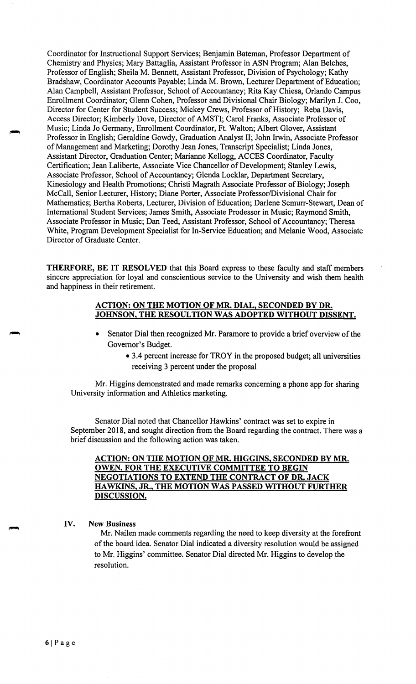Coordinator for Instructional Support Services; Benjamin Bateman, Professor Department of Chemistry and Physics; Mary Battaglia, Assistant Professor in ASN Program; Alan Belches, Professor of English; Sheila M. Bennett, Assistant Professor, Division of Psychology; Kathy Bradshaw, Coordinator Accounts Payable; Linda M. Brown, Lecturer Department of Education; Alan Campbell, Assistant Professor, School of Accountancy; Rita Kay Chiesa, Orlando Campus Enrollment Coordinator; Glenn Cohen, Professor and Divisional Chair Biology; Marilyn J. Coo, Director for Center for Student Success; Mickey Crews, Professor of History; Reba Davis, Access Director; Kimberly Dove, Director of AMSTI; Carol Franks, Associate Professor of Music; Linda Jo Germany, Enrollment Coordinator, Ft. Walton; Albert Glover, Assistant Professor in English; Geraldine Gowdy, Graduation Analyst II; John Irwin, Associate Professor of Management and Marketing; Dorothy Jean Jones, Transcript Specialist; Linda Jones, Assistant Director, Graduation Center; Marianne Kellogg, ACCES Coordinator, Faculty Certification; Jean Laliberte, Associate Vice Chancellor of Development; Stanley Lewis, Associate Professor, School of Accountancy; Glenda Locklar, Department Secretary, Kinesiology and Health Promotions; Christi Magrath Associate Professor of Biology; Joseph McCall, Senior Lecturer, History; Diane Porter, Associate Professor/Divisional Chair for Mathematics; Bertha Roberts, Lecturer, Division of Education; Darlene Scmurr-Stewart, Dean of International Student Services; James Smith, Associate Prodessor in Music; Raymond Smith, Associate Professor in Music; Dan Teed, Assistant Professor, School of Accountancy; Theresa White, Program Development Specialist for In-Service Education; and Melanie Wood, Associate Director of Graduate Center.

**THERFORE, BE IT RESOLVED** that this Board express to these faculty and staff members sincere appreciation for loyal and conscientious service to the University and wish them health and happiness in their retirement.

## **ACTION: ON THE MOTION OF MR. DIAL, SECONDED BY DR. JOHNSON, THE RESOULTION WAS ADOPTED WITHOUT DISSENT.**

- Senator Dial then recognized Mr. Paramore to provide a brief overview of the Governor's Budget.
	- 3.4 percent increase for TROY in the proposed budget; all universities receiving 3 percent under the proposal

Mr. Higgins demonstrated and made remarks concerning a phone app for sharing University information and Athletics marketing.

Senator Dial noted that Chancellor Hawkins' contract was set to expire in September 2018, and sought direction from the Board regarding the contract. There was a brief discussion and the following action was taken.

**ACTION: ON THE MOTION OF MR. HIGGINS, SECONDED BY MR. OWEN, FOR THE EXECUTIVE COMMITTEE TO BEGIN NEGOTIATIONS TO EXTEND THE CONTRACT OF DR. JACK HAWKINS, JR., THE MOTION WAS PASSED WITHOUT FURTHER DISCUSSION.** 

#### **IV. New Business**

Mr. Nailen made comments regarding the need to keep diversity at the forefront of the board idea. Senator Dial indicated a diversity resolution would be assigned to Mr. Higgins' committee. Senator Dial directed Mr. Higgins to develop the resolution.